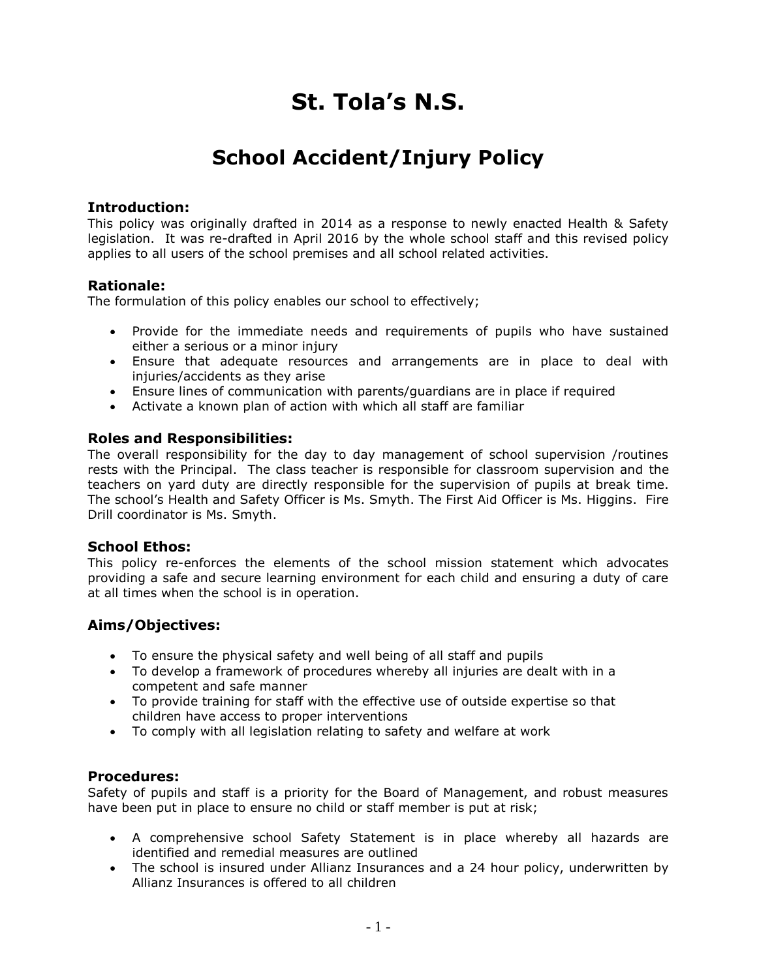# **St. Tola's N.S.**

# **School Accident/Injury Policy**

### **Introduction:**

This policy was originally drafted in 2014 as a response to newly enacted Health & Safety legislation. It was re-drafted in April 2016 by the whole school staff and this revised policy applies to all users of the school premises and all school related activities.

### **Rationale:**

The formulation of this policy enables our school to effectively;

- Provide for the immediate needs and requirements of pupils who have sustained either a serious or a minor injury
- Ensure that adequate resources and arrangements are in place to deal with injuries/accidents as they arise
- Ensure lines of communication with parents/guardians are in place if required
- Activate a known plan of action with which all staff are familiar

### **Roles and Responsibilities:**

The overall responsibility for the day to day management of school supervision /routines rests with the Principal. The class teacher is responsible for classroom supervision and the teachers on yard duty are directly responsible for the supervision of pupils at break time. The school's Health and Safety Officer is Ms. Smyth. The First Aid Officer is Ms. Higgins. Fire Drill coordinator is Ms. Smyth.

#### **School Ethos:**

This policy re-enforces the elements of the school mission statement which advocates providing a safe and secure learning environment for each child and ensuring a duty of care at all times when the school is in operation.

### **Aims/Objectives:**

- To ensure the physical safety and well being of all staff and pupils
- To develop a framework of procedures whereby all injuries are dealt with in a competent and safe manner
- To provide training for staff with the effective use of outside expertise so that children have access to proper interventions
- To comply with all legislation relating to safety and welfare at work

### **Procedures:**

Safety of pupils and staff is a priority for the Board of Management, and robust measures have been put in place to ensure no child or staff member is put at risk;

- A comprehensive school Safety Statement is in place whereby all hazards are identified and remedial measures are outlined
- The school is insured under Allianz Insurances and a 24 hour policy, underwritten by Allianz Insurances is offered to all children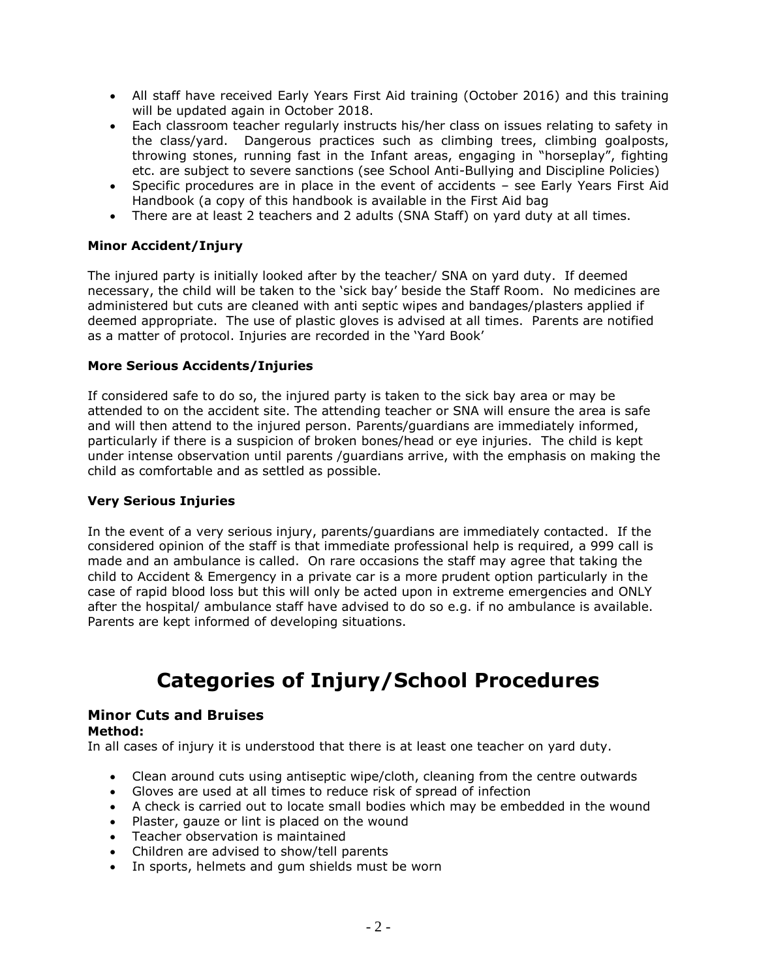- All staff have received Early Years First Aid training (October 2016) and this training will be updated again in October 2018.
- Each classroom teacher regularly instructs his/her class on issues relating to safety in the class/yard. Dangerous practices such as climbing trees, climbing goalposts, throwing stones, running fast in the Infant areas, engaging in "horseplay", fighting etc. are subject to severe sanctions (see School Anti-Bullying and Discipline Policies)
- Specific procedures are in place in the event of accidents see Early Years First Aid Handbook (a copy of this handbook is available in the First Aid bag
- There are at least 2 teachers and 2 adults (SNA Staff) on yard duty at all times.

### **Minor Accident/Injury**

The injured party is initially looked after by the teacher/ SNA on yard duty. If deemed necessary, the child will be taken to the 'sick bay' beside the Staff Room. No medicines are administered but cuts are cleaned with anti septic wipes and bandages/plasters applied if deemed appropriate. The use of plastic gloves is advised at all times. Parents are notified as a matter of protocol. Injuries are recorded in the 'Yard Book'

### **More Serious Accidents/Injuries**

If considered safe to do so, the injured party is taken to the sick bay area or may be attended to on the accident site. The attending teacher or SNA will ensure the area is safe and will then attend to the injured person. Parents/guardians are immediately informed, particularly if there is a suspicion of broken bones/head or eye injuries. The child is kept under intense observation until parents /guardians arrive, with the emphasis on making the child as comfortable and as settled as possible.

#### **Very Serious Injuries**

In the event of a very serious injury, parents/guardians are immediately contacted. If the considered opinion of the staff is that immediate professional help is required, a 999 call is made and an ambulance is called. On rare occasions the staff may agree that taking the child to Accident & Emergency in a private car is a more prudent option particularly in the case of rapid blood loss but this will only be acted upon in extreme emergencies and ONLY after the hospital/ ambulance staff have advised to do so e.g. if no ambulance is available. Parents are kept informed of developing situations.

# **Categories of Injury/School Procedures**

## **Minor Cuts and Bruises**

#### **Method:**

In all cases of injury it is understood that there is at least one teacher on yard duty.

- Clean around cuts using antiseptic wipe/cloth, cleaning from the centre outwards
- Gloves are used at all times to reduce risk of spread of infection
- A check is carried out to locate small bodies which may be embedded in the wound
- Plaster, gauze or lint is placed on the wound
- Teacher observation is maintained
- Children are advised to show/tell parents
- In sports, helmets and gum shields must be worn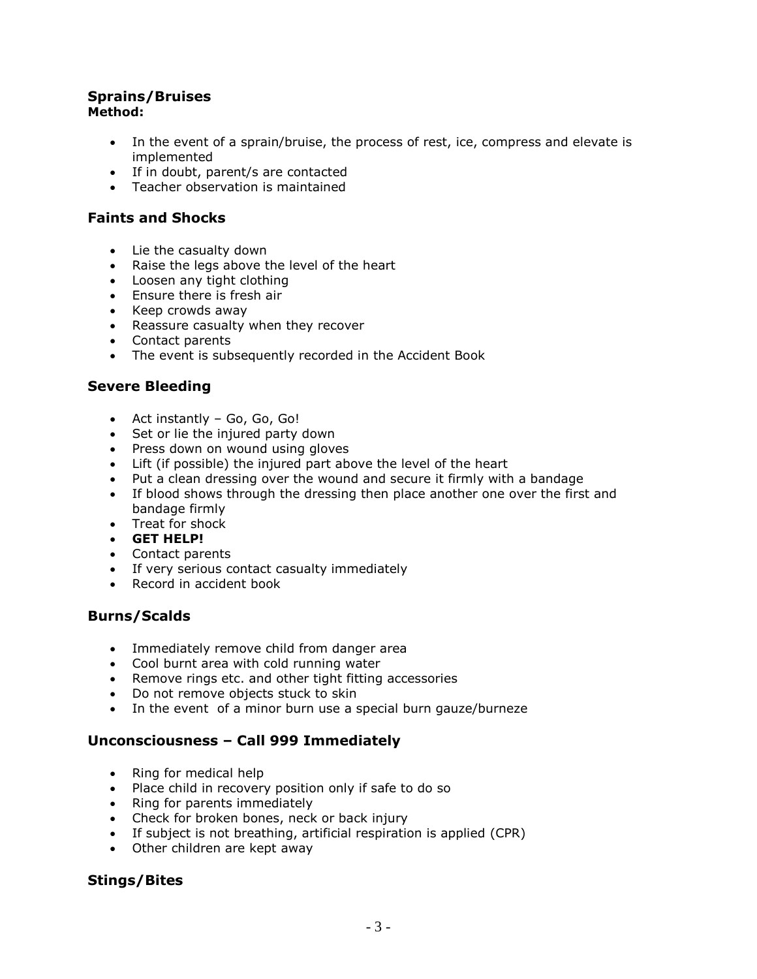# **Sprains/Bruises**

## **Method:**

- In the event of a sprain/bruise, the process of rest, ice, compress and elevate is implemented
- If in doubt, parent/s are contacted
- Teacher observation is maintained

## **Faints and Shocks**

- Lie the casualty down
- Raise the legs above the level of the heart
- Loosen any tight clothing
- Ensure there is fresh air
- Keep crowds away
- Reassure casualty when they recover
- Contact parents
- The event is subsequently recorded in the Accident Book

## **Severe Bleeding**

- Act instantly Go, Go, Go!
- Set or lie the injured party down
- Press down on wound using gloves
- Lift (if possible) the injured part above the level of the heart
- Put a clean dressing over the wound and secure it firmly with a bandage
- If blood shows through the dressing then place another one over the first and bandage firmly
- Treat for shock
- **GET HELP!**
- Contact parents
- If very serious contact casualty immediately
- Record in accident book

## **Burns/Scalds**

- Immediately remove child from danger area
- Cool burnt area with cold running water
- Remove rings etc. and other tight fitting accessories
- Do not remove objects stuck to skin
- In the event of a minor burn use a special burn gauze/burneze

## **Unconsciousness – Call 999 Immediately**

- Ring for medical help
- Place child in recovery position only if safe to do so
- Ring for parents immediately
- Check for broken bones, neck or back injury
- If subject is not breathing, artificial respiration is applied (CPR)
- Other children are kept away

# **Stings/Bites**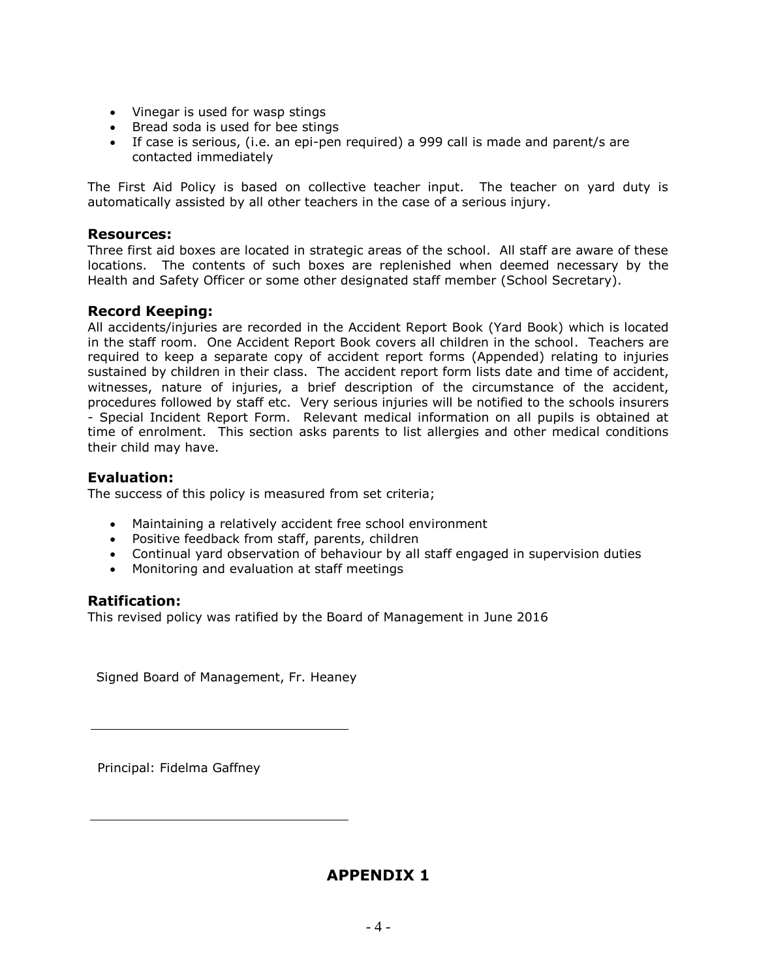- Vinegar is used for wasp stings
- Bread soda is used for bee stings
- If case is serious, (i.e. an epi-pen required) a 999 call is made and parent/s are contacted immediately

The First Aid Policy is based on collective teacher input. The teacher on yard duty is automatically assisted by all other teachers in the case of a serious injury.

### **Resources:**

Three first aid boxes are located in strategic areas of the school. All staff are aware of these locations. The contents of such boxes are replenished when deemed necessary by the Health and Safety Officer or some other designated staff member (School Secretary).

### **Record Keeping:**

All accidents/injuries are recorded in the Accident Report Book (Yard Book) which is located in the staff room. One Accident Report Book covers all children in the school. Teachers are required to keep a separate copy of accident report forms (Appended) relating to injuries sustained by children in their class. The accident report form lists date and time of accident, witnesses, nature of injuries, a brief description of the circumstance of the accident, procedures followed by staff etc. Very serious injuries will be notified to the schools insurers - Special Incident Report Form. Relevant medical information on all pupils is obtained at time of enrolment. This section asks parents to list allergies and other medical conditions their child may have.

### **Evaluation:**

The success of this policy is measured from set criteria;

- Maintaining a relatively accident free school environment
- Positive feedback from staff, parents, children
- Continual yard observation of behaviour by all staff engaged in supervision duties
- Monitoring and evaluation at staff meetings

### **Ratification:**

This revised policy was ratified by the Board of Management in June 2016

Signed Board of Management, Fr. Heaney

Principal: Fidelma Gaffney

# **APPENDIX 1**